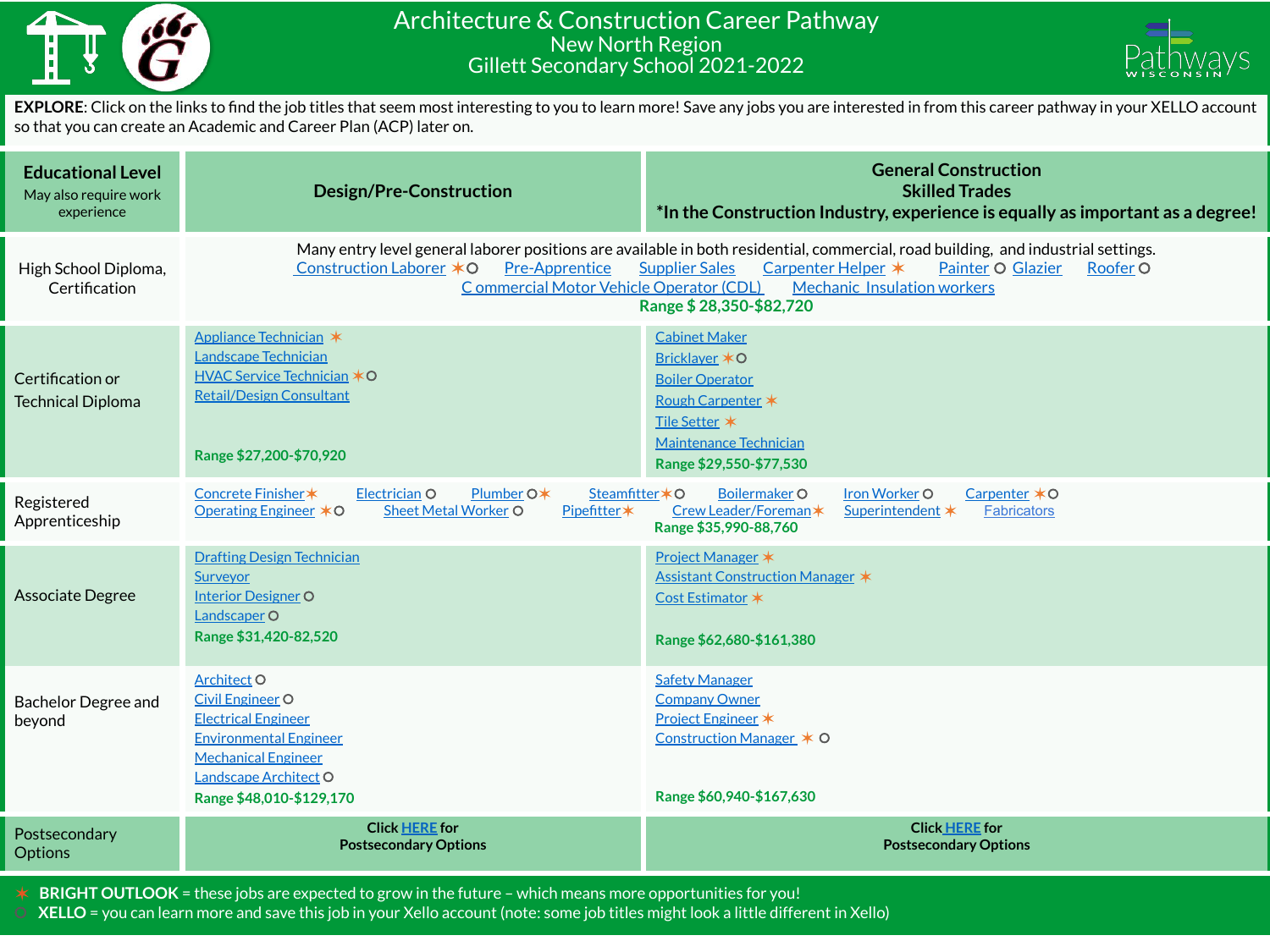

## Architecture & Construction Career Pathway New North Region Gillett Secondary School 2021-2022



**EXPLORE**: Click on the links to find the job titles that seem most interesting to you to learn more! Save any jobs you are interested in from this career pathway in your XELLO account so that you can create an Academic and Career Plan (ACP) later on.

| <b>Educational Level</b><br>May also require work<br>experience | <b>Design/Pre-Construction</b>                                                                                                                                                                                                                                                                                                                                                    | <b>General Construction</b><br><b>Skilled Trades</b><br>*In the Construction Industry, experience is equally as important as a degree!                            |
|-----------------------------------------------------------------|-----------------------------------------------------------------------------------------------------------------------------------------------------------------------------------------------------------------------------------------------------------------------------------------------------------------------------------------------------------------------------------|-------------------------------------------------------------------------------------------------------------------------------------------------------------------|
| High School Diploma,<br>Certification                           | Many entry level general laborer positions are available in both residential, commercial, road building, and industrial settings.<br><b>Pre-Apprentice</b><br>Construction Laborer *O<br><b>Supplier Sales</b><br>Carpenter Helper *<br>Painter O Glazier<br>Roofer O<br>Commercial Motor Vehicle Operator (CDL)<br><b>Mechanic Insulation workers</b><br>Range \$28,350-\$82,720 |                                                                                                                                                                   |
| Certification or<br><b>Technical Diploma</b>                    | Appliance Technician *<br>Landscape Technician<br>HVAC Service Technician *O<br><b>Retail/Design Consultant</b><br>Range \$27,200-\$70,920                                                                                                                                                                                                                                        | <b>Cabinet Maker</b><br>Bricklaver *O<br><b>Boiler Operator</b><br><b>Rough Carpenter *</b><br>Tile Setter *<br>Maintenance Technician<br>Range \$29,550-\$77,530 |
| Registered<br>Apprenticeship                                    | Concrete Finisher *<br>Electrician O<br>Plumber O*<br>Steamfitter*O<br>Operating Engineer <b>*</b> ○<br><b>Sheet Metal Worker O</b><br>Pipefitter*                                                                                                                                                                                                                                | <b>Boilermaker O</b><br>Iron Worker O<br>Carpenter *O<br>Crew Leader/Foreman*<br>Superintendent *<br><b>Fabricators</b><br>Range \$35,990-88,760                  |
| <b>Associate Degree</b>                                         | <b>Drafting Design Technician</b><br>Surveyor<br><b>Interior Designer O</b><br>Landscaper O<br>Range \$31,420-82,520                                                                                                                                                                                                                                                              | <b>Project Manager *</b><br><b>Assistant Construction Manager *</b><br>Cost Estimator *<br>Range \$62,680-\$161,380                                               |
| <b>Bachelor Degree and</b><br>beyond                            | Architect O<br><b>Civil Engineer O</b><br><b>Electrical Engineer</b><br><b>Environmental Engineer</b><br><b>Mechanical Engineer</b><br>Landscape Architect O<br>Range \$48,010-\$129,170                                                                                                                                                                                          | <b>Safety Manager</b><br><b>Company Owner</b><br>Project Engineer *<br>Construction Manager * O<br>Range \$60,940-\$167,630                                       |
| Postsecondary<br><b>Options</b>                                 | <b>Click HERE for</b><br><b>Postsecondary Options</b>                                                                                                                                                                                                                                                                                                                             | <b>Click HERE for</b><br><b>Postsecondary Options</b>                                                                                                             |

✶ **BRIGHT OUTLOOK** = these jobs are expected to grow in the future – which means more opportunities for you!

⚪ **XELLO** = you can learn more and save this job in your Xello account (note: some job titles might look a little different in Xello)